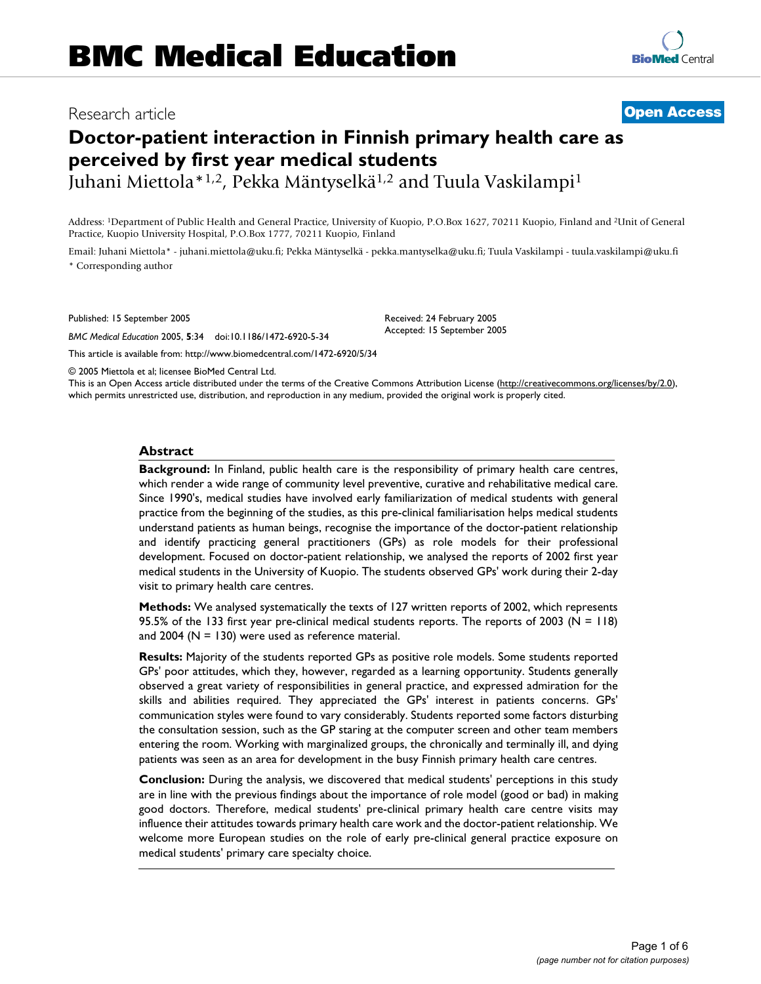# Research article **[Open Access](http://www.biomedcentral.com/info/about/charter/)**

# **[BioMed](http://www.biomedcentral.com/)** Central

# **Doctor-patient interaction in Finnish primary health care as perceived by first year medical students** Juhani Miettola\*1,2, Pekka Mäntyselkä1,2 and Tuula Vaskilampi1

Address: 1Department of Public Health and General Practice, University of Kuopio, P.O.Box 1627, 70211 Kuopio, Finland and 2Unit of General Practice, Kuopio University Hospital, P.O.Box 1777, 70211 Kuopio, Finland

Email: Juhani Miettola\* - juhani.miettola@uku.fi; Pekka Mäntyselkä - pekka.mantyselka@uku.fi; Tuula Vaskilampi - tuula.vaskilampi@uku.fi \* Corresponding author

> Received: 24 February 2005 Accepted: 15 September 2005

Published: 15 September 2005

*BMC Medical Education* 2005, **5**:34 doi:10.1186/1472-6920-5-34

[This article is available from: http://www.biomedcentral.com/1472-6920/5/34](http://www.biomedcentral.com/1472-6920/5/34)

© 2005 Miettola et al; licensee BioMed Central Ltd.

This is an Open Access article distributed under the terms of the Creative Commons Attribution License [\(http://creativecommons.org/licenses/by/2.0\)](http://creativecommons.org/licenses/by/2.0), which permits unrestricted use, distribution, and reproduction in any medium, provided the original work is properly cited.

#### **Abstract**

**Background:** In Finland, public health care is the responsibility of primary health care centres, which render a wide range of community level preventive, curative and rehabilitative medical care. Since 1990's, medical studies have involved early familiarization of medical students with general practice from the beginning of the studies, as this pre-clinical familiarisation helps medical students understand patients as human beings, recognise the importance of the doctor-patient relationship and identify practicing general practitioners (GPs) as role models for their professional development. Focused on doctor-patient relationship, we analysed the reports of 2002 first year medical students in the University of Kuopio. The students observed GPs' work during their 2-day visit to primary health care centres.

**Methods:** We analysed systematically the texts of 127 written reports of 2002, which represents 95.5% of the 133 first year pre-clinical medical students reports. The reports of 2003 ( $N = 118$ ) and 2004 ( $N = 130$ ) were used as reference material.

**Results:** Majority of the students reported GPs as positive role models. Some students reported GPs' poor attitudes, which they, however, regarded as a learning opportunity. Students generally observed a great variety of responsibilities in general practice, and expressed admiration for the skills and abilities required. They appreciated the GPs' interest in patients concerns. GPs' communication styles were found to vary considerably. Students reported some factors disturbing the consultation session, such as the GP staring at the computer screen and other team members entering the room. Working with marginalized groups, the chronically and terminally ill, and dying patients was seen as an area for development in the busy Finnish primary health care centres.

**Conclusion:** During the analysis, we discovered that medical students' perceptions in this study are in line with the previous findings about the importance of role model (good or bad) in making good doctors. Therefore, medical students' pre-clinical primary health care centre visits may influence their attitudes towards primary health care work and the doctor-patient relationship. We welcome more European studies on the role of early pre-clinical general practice exposure on medical students' primary care specialty choice.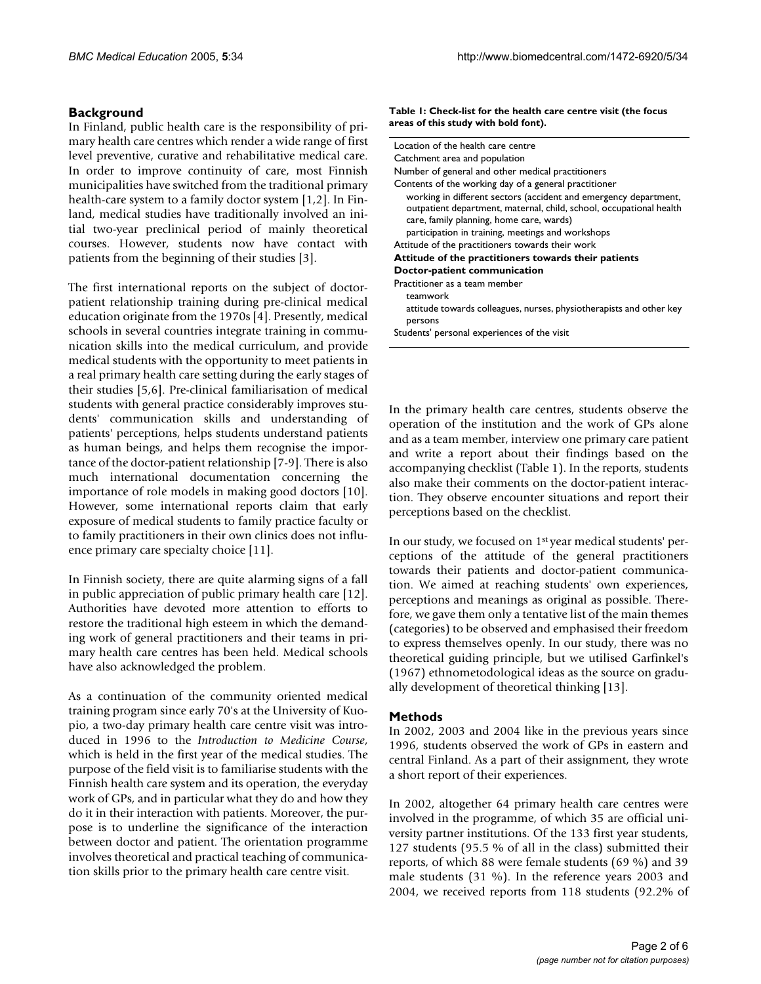# **Background**

In Finland, public health care is the responsibility of primary health care centres which render a wide range of first level preventive, curative and rehabilitative medical care. In order to improve continuity of care, most Finnish municipalities have switched from the traditional primary health-care system to a family doctor system [1,2]. In Finland, medical studies have traditionally involved an initial two-year preclinical period of mainly theoretical courses. However, students now have contact with patients from the beginning of their studies [3].

The first international reports on the subject of doctorpatient relationship training during pre-clinical medical education originate from the 1970s [4]. Presently, medical schools in several countries integrate training in communication skills into the medical curriculum, and provide medical students with the opportunity to meet patients in a real primary health care setting during the early stages of their studies [5,6]. Pre-clinical familiarisation of medical students with general practice considerably improves students' communication skills and understanding of patients' perceptions, helps students understand patients as human beings, and helps them recognise the importance of the doctor-patient relationship [7-9]. There is also much international documentation concerning the importance of role models in making good doctors [10]. However, some international reports claim that early exposure of medical students to family practice faculty or to family practitioners in their own clinics does not influence primary care specialty choice [11].

In Finnish society, there are quite alarming signs of a fall in public appreciation of public primary health care [12]. Authorities have devoted more attention to efforts to restore the traditional high esteem in which the demanding work of general practitioners and their teams in primary health care centres has been held. Medical schools have also acknowledged the problem.

As a continuation of the community oriented medical training program since early 70's at the University of Kuopio, a two-day primary health care centre visit was introduced in 1996 to the *Introduction to Medicine Course*, which is held in the first year of the medical studies. The purpose of the field visit is to familiarise students with the Finnish health care system and its operation, the everyday work of GPs, and in particular what they do and how they do it in their interaction with patients. Moreover, the purpose is to underline the significance of the interaction between doctor and patient. The orientation programme involves theoretical and practical teaching of communication skills prior to the primary health care centre visit.

| Table 1: Check-list for the health care centre visit (the focus |
|-----------------------------------------------------------------|
| areas of this study with bold font).                            |

| Location of the health care centre                                  |
|---------------------------------------------------------------------|
| Catchment area and population                                       |
| Number of general and other medical practitioners                   |
| Contents of the working day of a general practitioner               |
| working in different sectors (accident and emergency department,    |
| outpatient department, maternal, child, school, occupational health |
| care, family planning, home care, wards)                            |
| participation in training, meetings and workshops                   |
| Attitude of the practitioners towards their work                    |
| Attitude of the practitioners towards their patients                |
| Doctor-patient communication                                        |
| Practitioner as a team member                                       |
| teamwork                                                            |
| attitude towards colleagues, nurses, physiotherapists and other key |
| persons                                                             |
| Students' personal experiences of the visit                         |
|                                                                     |

In the primary health care centres, students observe the operation of the institution and the work of GPs alone and as a team member, interview one primary care patient and write a report about their findings based on the accompanying checklist (Table 1). In the reports, students also make their comments on the doctor-patient interaction. They observe encounter situations and report their perceptions based on the checklist.

In our study, we focused on 1st year medical students' perceptions of the attitude of the general practitioners towards their patients and doctor-patient communication. We aimed at reaching students' own experiences, perceptions and meanings as original as possible. Therefore, we gave them only a tentative list of the main themes (categories) to be observed and emphasised their freedom to express themselves openly. In our study, there was no theoretical guiding principle, but we utilised Garfinkel's (1967) ethnometodological ideas as the source on gradually development of theoretical thinking [13].

## **Methods**

In 2002, 2003 and 2004 like in the previous years since 1996, students observed the work of GPs in eastern and central Finland. As a part of their assignment, they wrote a short report of their experiences.

In 2002, altogether 64 primary health care centres were involved in the programme, of which 35 are official university partner institutions. Of the 133 first year students, 127 students (95.5 % of all in the class) submitted their reports, of which 88 were female students (69 %) and 39 male students (31 %). In the reference years 2003 and 2004, we received reports from 118 students (92.2% of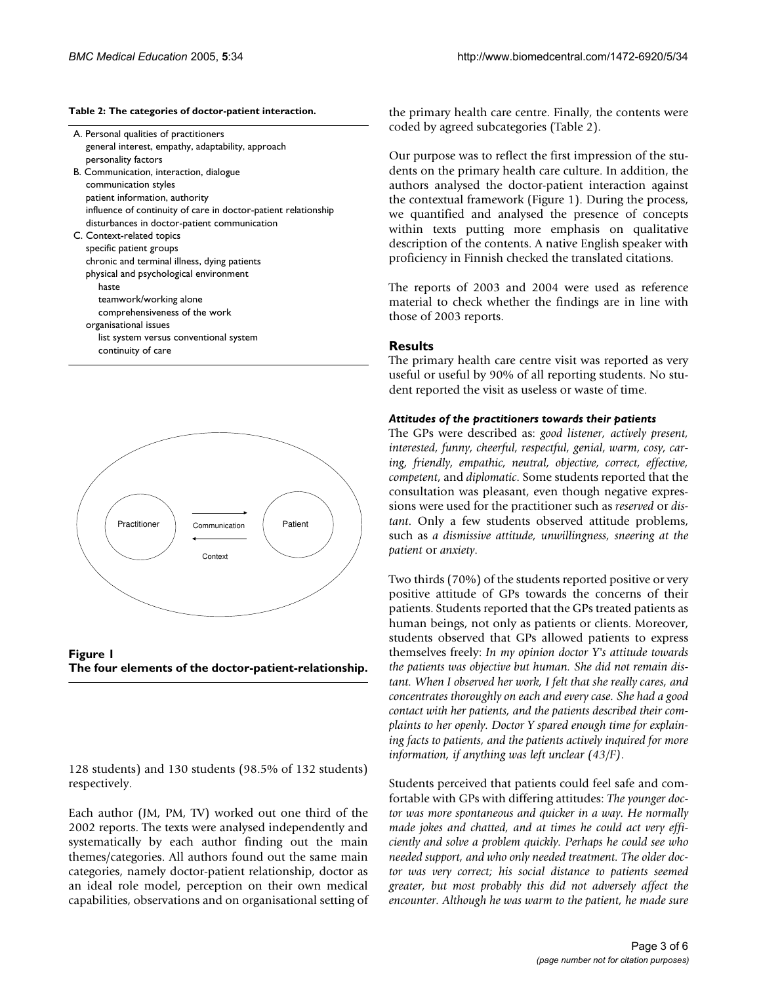#### **Table 2: The categories of doctor-patient interaction.**

| A. Personal qualities of practitioners                         |
|----------------------------------------------------------------|
| general interest, empathy, adaptability, approach              |
| personality factors                                            |
| B. Communication, interaction, dialogue                        |
| communication styles                                           |
| patient information, authority                                 |
| influence of continuity of care in doctor-patient relationship |
| disturbances in doctor-patient communication                   |
| C. Context-related topics                                      |
| specific patient groups                                        |
| chronic and terminal illness, dying patients                   |
| physical and psychological environment                         |
| haste                                                          |
| teamwork/working alone                                         |
| comprehensiveness of the work                                  |
| organisational issues                                          |
| list system versus conventional system                         |
| continuity of care                                             |





128 students) and 130 students (98.5% of 132 students) respectively.

Each author (JM, PM, TV) worked out one third of the 2002 reports. The texts were analysed independently and systematically by each author finding out the main themes/categories. All authors found out the same main categories, namely doctor-patient relationship, doctor as an ideal role model, perception on their own medical capabilities, observations and on organisational setting of the primary health care centre. Finally, the contents were coded by agreed subcategories (Table 2).

Our purpose was to reflect the first impression of the students on the primary health care culture. In addition, the authors analysed the doctor-patient interaction against the contextual framework (Figure 1). During the process, we quantified and analysed the presence of concepts within texts putting more emphasis on qualitative description of the contents. A native English speaker with proficiency in Finnish checked the translated citations.

The reports of 2003 and 2004 were used as reference material to check whether the findings are in line with those of 2003 reports.

#### **Results**

The primary health care centre visit was reported as very useful or useful by 90% of all reporting students. No student reported the visit as useless or waste of time.

#### *Attitudes of the practitioners towards their patients*

The GPs were described as: *good listener, actively present, interested, funny, cheerful, respectful, genial, warm, cosy, caring, friendly, empathic, neutral, objective, correct, effective, competent*, and *diplomatic*. Some students reported that the consultation was pleasant, even though negative expressions were used for the practitioner such as *reserved* or *distant*. Only a few students observed attitude problems, such as *a dismissive attitude, unwillingness, sneering at the patient* or *anxiety*.

Two thirds (70%) of the students reported positive or very positive attitude of GPs towards the concerns of their patients. Students reported that the GPs treated patients as human beings, not only as patients or clients. Moreover, students observed that GPs allowed patients to express themselves freely: *In my opinion doctor Y's attitude towards the patients was objective but human. She did not remain distant. When I observed her work, I felt that she really cares, and concentrates thoroughly on each and every case. She had a good contact with her patients, and the patients described their complaints to her openly. Doctor Y spared enough time for explaining facts to patients, and the patients actively inquired for more information, if anything was left unclear (43/F)*.

Students perceived that patients could feel safe and comfortable with GPs with differing attitudes: *The younger doctor was more spontaneous and quicker in a way. He normally made jokes and chatted, and at times he could act very efficiently and solve a problem quickly. Perhaps he could see who needed support, and who only needed treatment. The older doctor was very correct; his social distance to patients seemed greater, but most probably this did not adversely affect the encounter. Although he was warm to the patient, he made sure*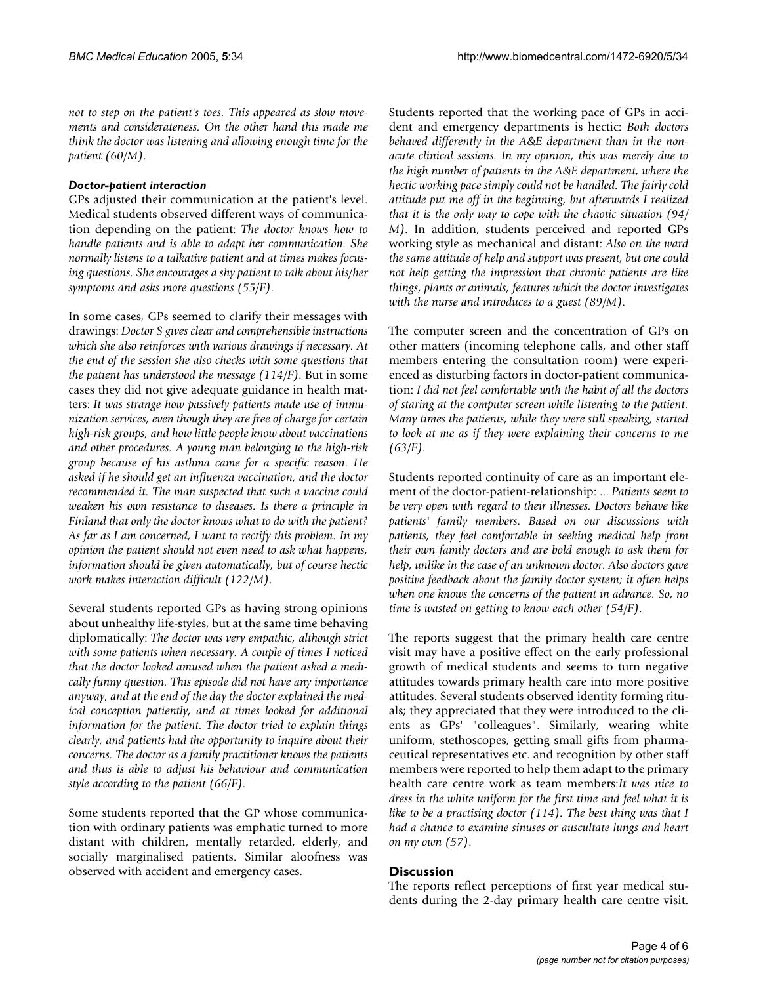*not to step on the patient's toes. This appeared as slow movements and considerateness. On the other hand this made me think the doctor was listening and allowing enough time for the patient (60/M)*.

#### *Doctor-patient interaction*

GPs adjusted their communication at the patient's level. Medical students observed different ways of communication depending on the patient: *The doctor knows how to handle patients and is able to adapt her communication. She normally listens to a talkative patient and at times makes focusing questions. She encourages a shy patient to talk about his/her symptoms and asks more questions (55/F)*.

In some cases, GPs seemed to clarify their messages with drawings: *Doctor S gives clear and comprehensible instructions which she also reinforces with various drawings if necessary. At the end of the session she also checks with some questions that the patient has understood the message (114/F)*. But in some cases they did not give adequate guidance in health matters: *It was strange how passively patients made use of immunization services, even though they are free of charge for certain high-risk groups, and how little people know about vaccinations and other procedures. A young man belonging to the high-risk group because of his asthma came for a specific reason. He asked if he should get an influenza vaccination, and the doctor recommended it. The man suspected that such a vaccine could weaken his own resistance to diseases. Is there a principle in Finland that only the doctor knows what to do with the patient? As far as I am concerned, I want to rectify this problem. In my opinion the patient should not even need to ask what happens, information should be given automatically, but of course hectic work makes interaction difficult (122/M)*.

Several students reported GPs as having strong opinions about unhealthy life-styles, but at the same time behaving diplomatically: *The doctor was very empathic, although strict with some patients when necessary. A couple of times I noticed that the doctor looked amused when the patient asked a medically funny question. This episode did not have any importance anyway, and at the end of the day the doctor explained the medical conception patiently, and at times looked for additional information for the patient. The doctor tried to explain things clearly, and patients had the opportunity to inquire about their concerns. The doctor as a family practitioner knows the patients and thus is able to adjust his behaviour and communication style according to the patient (66/F)*.

Some students reported that the GP whose communication with ordinary patients was emphatic turned to more distant with children, mentally retarded, elderly, and socially marginalised patients. Similar aloofness was observed with accident and emergency cases.

Students reported that the working pace of GPs in accident and emergency departments is hectic: *Both doctors behaved differently in the A&E department than in the nonacute clinical sessions. In my opinion, this was merely due to the high number of patients in the A&E department, where the hectic working pace simply could not be handled. The fairly cold attitude put me off in the beginning, but afterwards I realized that it is the only way to cope with the chaotic situation (94/ M)*. In addition, students perceived and reported GPs working style as mechanical and distant: *Also on the ward the same attitude of help and support was present, but one could not help getting the impression that chronic patients are like things, plants or animals, features which the doctor investigates with the nurse and introduces to a guest (89/M)*.

The computer screen and the concentration of GPs on other matters (incoming telephone calls, and other staff members entering the consultation room) were experienced as disturbing factors in doctor-patient communication: *I did not feel comfortable with the habit of all the doctors of staring at the computer screen while listening to the patient. Many times the patients, while they were still speaking, started to look at me as if they were explaining their concerns to me (63/F)*.

Students reported continuity of care as an important element of the doctor-patient-relationship: ... *Patients seem to be very open with regard to their illnesses. Doctors behave like patients' family members. Based on our discussions with patients, they feel comfortable in seeking medical help from their own family doctors and are bold enough to ask them for help, unlike in the case of an unknown doctor. Also doctors gave positive feedback about the family doctor system; it often helps when one knows the concerns of the patient in advance. So, no time is wasted on getting to know each other (54/F)*.

The reports suggest that the primary health care centre visit may have a positive effect on the early professional growth of medical students and seems to turn negative attitudes towards primary health care into more positive attitudes. Several students observed identity forming rituals; they appreciated that they were introduced to the clients as GPs' "colleagues". Similarly, wearing white uniform, stethoscopes, getting small gifts from pharmaceutical representatives etc. and recognition by other staff members were reported to help them adapt to the primary health care centre work as team members:*It was nice to dress in the white uniform for the first time and feel what it is like to be a practising doctor (114). The best thing was that I had a chance to examine sinuses or auscultate lungs and heart on my own (57)*.

## **Discussion**

The reports reflect perceptions of first year medical students during the 2-day primary health care centre visit.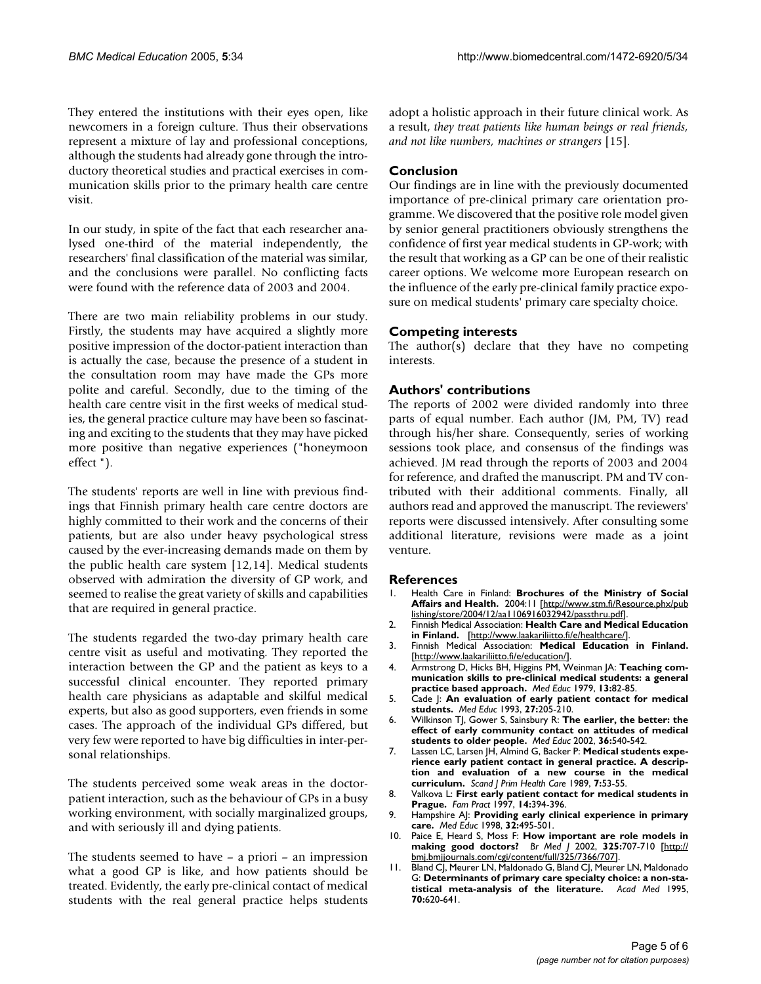They entered the institutions with their eyes open, like newcomers in a foreign culture. Thus their observations represent a mixture of lay and professional conceptions, although the students had already gone through the introductory theoretical studies and practical exercises in communication skills prior to the primary health care centre visit.

In our study, in spite of the fact that each researcher analysed one-third of the material independently, the researchers' final classification of the material was similar, and the conclusions were parallel. No conflicting facts were found with the reference data of 2003 and 2004.

There are two main reliability problems in our study. Firstly, the students may have acquired a slightly more positive impression of the doctor-patient interaction than is actually the case, because the presence of a student in the consultation room may have made the GPs more polite and careful. Secondly, due to the timing of the health care centre visit in the first weeks of medical studies, the general practice culture may have been so fascinating and exciting to the students that they may have picked more positive than negative experiences ("honeymoon effect ").

The students' reports are well in line with previous findings that Finnish primary health care centre doctors are highly committed to their work and the concerns of their patients, but are also under heavy psychological stress caused by the ever-increasing demands made on them by the public health care system [12,14]. Medical students observed with admiration the diversity of GP work, and seemed to realise the great variety of skills and capabilities that are required in general practice.

The students regarded the two-day primary health care centre visit as useful and motivating. They reported the interaction between the GP and the patient as keys to a successful clinical encounter. They reported primary health care physicians as adaptable and skilful medical experts, but also as good supporters, even friends in some cases. The approach of the individual GPs differed, but very few were reported to have big difficulties in inter-personal relationships.

The students perceived some weak areas in the doctorpatient interaction, such as the behaviour of GPs in a busy working environment, with socially marginalized groups, and with seriously ill and dying patients.

The students seemed to have – a priori – an impression what a good GP is like, and how patients should be treated. Evidently, the early pre-clinical contact of medical students with the real general practice helps students adopt a holistic approach in their future clinical work. As a result, *they treat patients like human beings or real friends, and not like numbers, machines or strangers* [15].

# **Conclusion**

Our findings are in line with the previously documented importance of pre-clinical primary care orientation programme. We discovered that the positive role model given by senior general practitioners obviously strengthens the confidence of first year medical students in GP-work; with the result that working as a GP can be one of their realistic career options. We welcome more European research on the influence of the early pre-clinical family practice exposure on medical students' primary care specialty choice.

# **Competing interests**

The author(s) declare that they have no competing interests.

# **Authors' contributions**

The reports of 2002 were divided randomly into three parts of equal number. Each author (JM, PM, TV) read through his/her share. Consequently, series of working sessions took place, and consensus of the findings was achieved. JM read through the reports of 2003 and 2004 for reference, and drafted the manuscript. PM and TV contributed with their additional comments. Finally, all authors read and approved the manuscript. The reviewers' reports were discussed intensively. After consulting some additional literature, revisions were made as a joint venture.

#### **References**

- 1. Health Care in Finland: **Brochures of the Ministry of Social Affairs and Health.** 2004:11 [\[http://www.stm.fi/Resource.phx/pub](http://www.stm.fi/Resource.phx/publishing/store/2004/12/aa1106916032942/passthru.pdf) [lishing/store/2004/12/aa1106916032942/passthru.pdf](http://www.stm.fi/Resource.phx/publishing/store/2004/12/aa1106916032942/passthru.pdf)].
- 2. Finnish Medical Association: **Health Care and Medical Education in Finland.** [\[http://www.laakariliitto.fi/e/healthcare/\]](http://www.laakariliitto.fi/e/healthcare/).
- 3. Finnish Medical Association: **Medical Education in Finland.** [[http://www.laakariliitto.fi/e/education/\]](http://www.laakariliitto.fi/e/education/).
- 4. Armstrong D, Hicks BH, Higgins PM, Weinman JA: **[Teaching com](http://www.ncbi.nlm.nih.gov/entrez/query.fcgi?cmd=Retrieve&db=PubMed&dopt=Abstract&list_uids=431420)[munication skills to pre-clinical medical students: a general](http://www.ncbi.nlm.nih.gov/entrez/query.fcgi?cmd=Retrieve&db=PubMed&dopt=Abstract&list_uids=431420) [practice based approach.](http://www.ncbi.nlm.nih.gov/entrez/query.fcgi?cmd=Retrieve&db=PubMed&dopt=Abstract&list_uids=431420)** *Med Educ* 1979, **13:**82-85.
- 5. Cade J: **[An evaluation of early patient contact for medical](http://www.ncbi.nlm.nih.gov/entrez/query.fcgi?cmd=Retrieve&db=PubMed&dopt=Abstract&list_uids=8336569) [students.](http://www.ncbi.nlm.nih.gov/entrez/query.fcgi?cmd=Retrieve&db=PubMed&dopt=Abstract&list_uids=8336569)** *Med Educ* 1993, **27:**205-210.
- 6. Wilkinson TJ, Gower S, Sainsbury R: **[The earlier, the better: the](http://www.ncbi.nlm.nih.gov/entrez/query.fcgi?cmd=Retrieve&db=PubMed&dopt=Abstract&list_uids=12047668) [effect of early community contact on attitudes of medical](http://www.ncbi.nlm.nih.gov/entrez/query.fcgi?cmd=Retrieve&db=PubMed&dopt=Abstract&list_uids=12047668) [students to older people.](http://www.ncbi.nlm.nih.gov/entrez/query.fcgi?cmd=Retrieve&db=PubMed&dopt=Abstract&list_uids=12047668)** *Med Educ* 2002, **36:**540-542.
- 7. Lassen LC, Larsen JH, Almind G, Backer P: **[Medical students expe](http://www.ncbi.nlm.nih.gov/entrez/query.fcgi?cmd=Retrieve&db=PubMed&dopt=Abstract&list_uids=2727462)rience early patient contact in general practice. A descrip[tion and evaluation of a new course in the medical](http://www.ncbi.nlm.nih.gov/entrez/query.fcgi?cmd=Retrieve&db=PubMed&dopt=Abstract&list_uids=2727462) [curriculum.](http://www.ncbi.nlm.nih.gov/entrez/query.fcgi?cmd=Retrieve&db=PubMed&dopt=Abstract&list_uids=2727462)** *Scand J Prim Health Care* 1989, **7:**53-55.
- 8. Valkova L: **[First early patient contact for medical students in](http://www.ncbi.nlm.nih.gov/entrez/query.fcgi?cmd=Retrieve&db=PubMed&dopt=Abstract&list_uids=9472374) [Prague.](http://www.ncbi.nlm.nih.gov/entrez/query.fcgi?cmd=Retrieve&db=PubMed&dopt=Abstract&list_uids=9472374)** *Fam Pract* 1997, **14:**394-396.
- 9. Hampshire AJ: **[Providing early clinical experience in primary](http://www.ncbi.nlm.nih.gov/entrez/query.fcgi?cmd=Retrieve&db=PubMed&dopt=Abstract&list_uids=10211291) [care.](http://www.ncbi.nlm.nih.gov/entrez/query.fcgi?cmd=Retrieve&db=PubMed&dopt=Abstract&list_uids=10211291)** *Med Educ* 1998, **32:**495-501.
- 10. Paice E, Heard S, Moss F: **How important are role models in making good doctors?** *Br Med J* 2002, **325:**707-710 [\[http://](http://bmj.bmjjournals.com/cgi/content/full/325/7366/707) [bmj.bmjjournals.com/cgi/content/full/325/7366/707\]](http://bmj.bmjjournals.com/cgi/content/full/325/7366/707).
- 11. Bland CJ, Meurer LN, Maldonado G, Bland CJ, Meurer LN, Maldonado G: **[Determinants of primary care specialty choice: a non-sta](http://www.ncbi.nlm.nih.gov/entrez/query.fcgi?cmd=Retrieve&db=PubMed&dopt=Abstract&list_uids=7612128)[tistical meta-analysis of the literature.](http://www.ncbi.nlm.nih.gov/entrez/query.fcgi?cmd=Retrieve&db=PubMed&dopt=Abstract&list_uids=7612128)** *Acad Med* 1995, **70:**620-641.